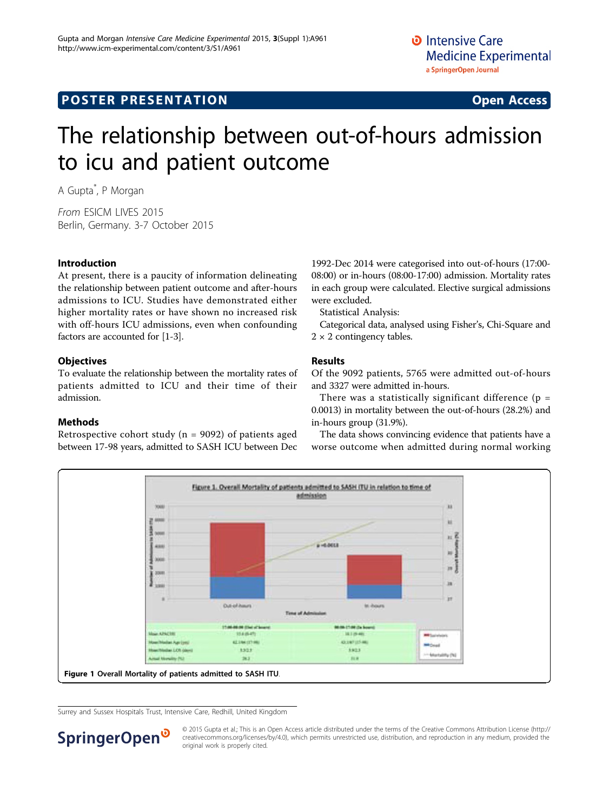# **POSTER PRESENTATION CONSUMING ACCESS**

# The relationship between out-of-hours admission to icu and patient outcome

A Gupta\* , P Morgan

From ESICM LIVES 2015 Berlin, Germany. 3-7 October 2015

#### Introduction

At present, there is a paucity of information delineating the relationship between patient outcome and after-hours admissions to ICU. Studies have demonstrated either higher mortality rates or have shown no increased risk with off-hours ICU admissions, even when confounding factors are accounted for [\[1](#page-1-0)-[3](#page-1-0)].

#### **Objectives**

To evaluate the relationship between the mortality rates of patients admitted to ICU and their time of their admission.

## Methods

Retrospective cohort study ( $n = 9092$ ) of patients aged between 17-98 years, admitted to SASH ICU between Dec

1992-Dec 2014 were categorised into out-of-hours (17:00- 08:00) or in-hours (08:00-17:00) admission. Mortality rates in each group were calculated. Elective surgical admissions were excluded.

Statistical Analysis:

Categorical data, analysed using Fisher's, Chi-Square and  $2 \times 2$  contingency tables.

## Results

Of the 9092 patients, 5765 were admitted out-of-hours and 3327 were admitted in-hours.

There was a statistically significant difference ( $p =$ 0.0013) in mortality between the out-of-hours (28.2%) and in-hours group (31.9%).

The data shows convincing evidence that patients have a worse outcome when admitted during normal working



Surrey and Sussex Hospitals Trust, Intensive Care, Redhill, United Kingdom



© 2015 Gupta et al.; This is an Open Access article distributed under the terms of the Creative Commons Attribution License [\(http://](http://creativecommons.org/licenses/by/4.0) [creativecommons.org/licenses/by/4.0](http://creativecommons.org/licenses/by/4.0)), which permits unrestricted use, distribution, and reproduction in any medium, provided the original work is properly cited.